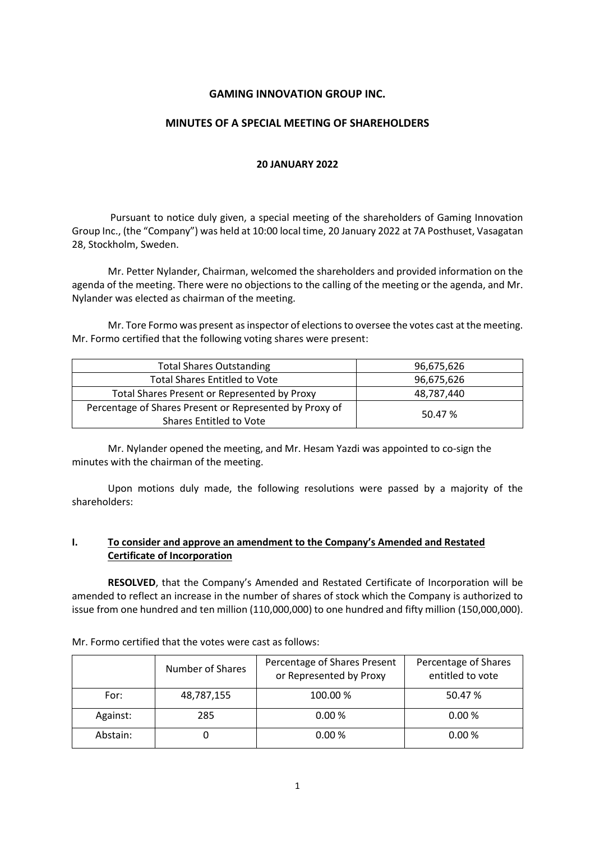# **GAMING INNOVATION GROUP INC.**

### **MINUTES OF A SPECIAL MEETING OF SHAREHOLDERS**

#### **20 JANUARY 2022**

Pursuant to notice duly given, a special meeting of the shareholders of Gaming Innovation Group Inc., (the "Company") was held at 10:00 local time, 20 January 2022 at 7A Posthuset, Vasagatan 28, Stockholm, Sweden.

Mr. Petter Nylander, Chairman, welcomed the shareholders and provided information on the agenda of the meeting. There were no objections to the calling of the meeting or the agenda, and Mr. Nylander was elected as chairman of the meeting.

Mr. Tore Formo was present as inspector of elections to oversee the votes cast at the meeting. Mr. Formo certified that the following voting shares were present:

| <b>Total Shares Outstanding</b>                         | 96,675,626 |  |
|---------------------------------------------------------|------------|--|
| <b>Total Shares Entitled to Vote</b>                    | 96,675,626 |  |
| Total Shares Present or Represented by Proxy            | 48,787,440 |  |
| Percentage of Shares Present or Represented by Proxy of | 50.47 %    |  |
| Shares Entitled to Vote                                 |            |  |

Mr. Nylander opened the meeting, and Mr. Hesam Yazdi was appointed to co-sign the minutes with the chairman of the meeting.

Upon motions duly made, the following resolutions were passed by a majority of the shareholders:

# **I. To consider and approve an amendment to the Company's Amended and Restated Certificate of Incorporation**

**RESOLVED**, that the Company's Amended and Restated Certificate of Incorporation will be amended to reflect an increase in the number of shares of stock which the Company is authorized to issue from one hundred and ten million (110,000,000) to one hundred and fifty million (150,000,000).

Mr. Formo certified that the votes were cast as follows:

|          | Number of Shares | Percentage of Shares Present<br>or Represented by Proxy | Percentage of Shares<br>entitled to vote |
|----------|------------------|---------------------------------------------------------|------------------------------------------|
| For:     | 48,787,155       | 100.00 %                                                | 50.47 %                                  |
| Against: | 285              | 0.00%                                                   | 0.00%                                    |
| Abstain: |                  | 0.00%                                                   | 0.00%                                    |